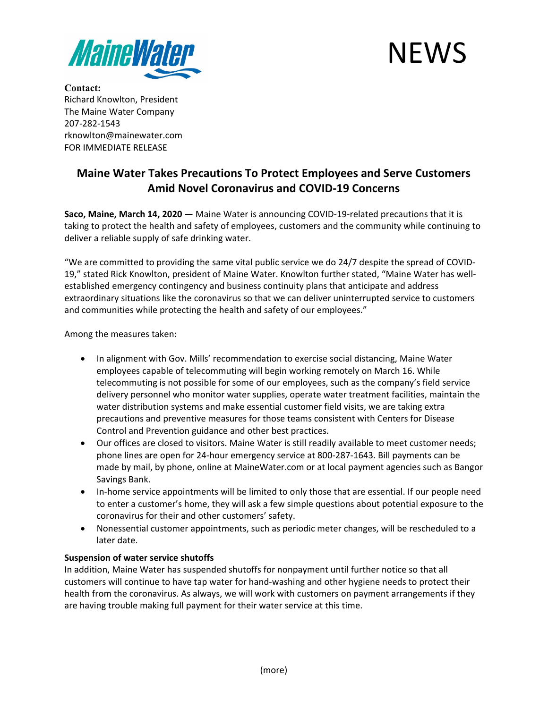



**Contact:** Richard Knowlton, President The Maine Water Company 207-282-1543 rknowlton@mainewater.com FOR IMMEDIATE RELEASE

## **Maine Water Takes Precautions To Protect Employees and Serve Customers Amid Novel Coronavirus and COVID-19 Concerns**

**Saco, Maine, March 14, 2020** — Maine Water is announcing COVID-19-related precautions that it is taking to protect the health and safety of employees, customers and the community while continuing to deliver a reliable supply of safe drinking water.

"We are committed to providing the same vital public service we do 24/7 despite the spread of COVID-19," stated Rick Knowlton, president of Maine Water. Knowlton further stated, "Maine Water has wellestablished emergency contingency and business continuity plans that anticipate and address extraordinary situations like the coronavirus so that we can deliver uninterrupted service to customers and communities while protecting the health and safety of our employees."

Among the measures taken:

- In alignment with Gov. Mills' recommendation to exercise social distancing, Maine Water employees capable of telecommuting will begin working remotely on March 16. While telecommuting is not possible for some of our employees, such as the company's field service delivery personnel who monitor water supplies, operate water treatment facilities, maintain the water distribution systems and make essential customer field visits, we are taking extra precautions and preventive measures for those teams consistent with Centers for Disease Control and Prevention guidance and other best practices.
- Our offices are closed to visitors. Maine Water is still readily available to meet customer needs; phone lines are open for 24-hour emergency service at 800-287-1643. Bill payments can be made by mail, by phone, online at MaineWater.com or at local payment agencies such as Bangor Savings Bank.
- In-home service appointments will be limited to only those that are essential. If our people need to enter a customer's home, they will ask a few simple questions about potential exposure to the coronavirus for their and other customers' safety.
- Nonessential customer appointments, such as periodic meter changes, will be rescheduled to a later date.

## **Suspension of water service shutoffs**

In addition, Maine Water has suspended shutoffs for nonpayment until further notice so that all customers will continue to have tap water for hand-washing and other hygiene needs to protect their health from the coronavirus. As always, we will work with customers on payment arrangements if they are having trouble making full payment for their water service at this time.